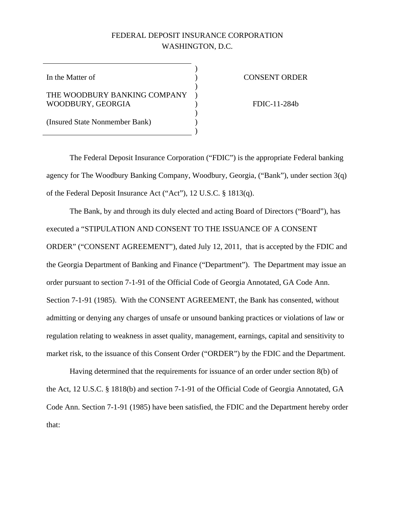# FEDERAL DEPOSIT INSURANCE CORPORATION WASHINGTON, D.C.

)

)

)

 $\overline{)}$ 

In the Matter of  $\qquad \qquad$  )

## THE WOODBURY BANKING COMPANY ) WOODBURY, GEORGIA (1999)

#### CONSENT ORDER

FDIC-11-284b

(Insured State Nonmember Bank) )

The Federal Deposit Insurance Corporation ("FDIC") is the appropriate Federal banking agency for The Woodbury Banking Company, Woodbury, Georgia, ("Bank"), under section 3(q) of the Federal Deposit Insurance Act ("Act"), 12 U.S.C. § 1813(q).

The Bank, by and through its duly elected and acting Board of Directors ("Board"), has executed a "STIPULATION AND CONSENT TO THE ISSUANCE OF A CONSENT ORDER" ("CONSENT AGREEMENT"), dated July 12, 2011, that is accepted by the FDIC and the Georgia Department of Banking and Finance ("Department"). The Department may issue an order pursuant to section 7-1-91 of the Official Code of Georgia Annotated, GA Code Ann. Section 7-1-91 (1985). With the CONSENT AGREEMENT, the Bank has consented, without admitting or denying any charges of unsafe or unsound banking practices or violations of law or regulation relating to weakness in asset quality, management, earnings, capital and sensitivity to market risk, to the issuance of this Consent Order ("ORDER") by the FDIC and the Department.

Having determined that the requirements for issuance of an order under section 8(b) of the Act, 12 U.S.C. § 1818(b) and section 7-1-91 of the Official Code of Georgia Annotated, GA Code Ann. Section 7-1-91 (1985) have been satisfied, the FDIC and the Department hereby order that: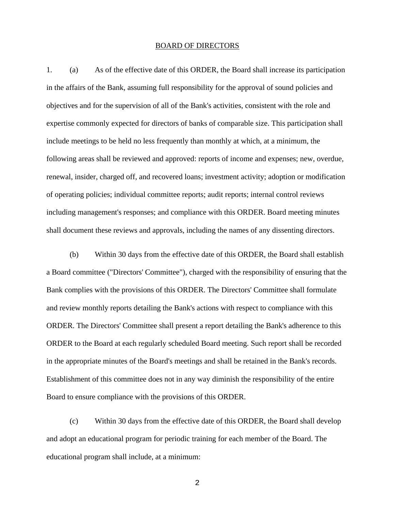### BOARD OF DIRECTORS

1. (a) As of the effective date of this ORDER, the Board shall increase its participation in the affairs of the Bank, assuming full responsibility for the approval of sound policies and objectives and for the supervision of all of the Bank's activities, consistent with the role and expertise commonly expected for directors of banks of comparable size. This participation shall include meetings to be held no less frequently than monthly at which, at a minimum, the following areas shall be reviewed and approved: reports of income and expenses; new, overdue, renewal, insider, charged off, and recovered loans; investment activity; adoption or modification of operating policies; individual committee reports; audit reports; internal control reviews including management's responses; and compliance with this ORDER. Board meeting minutes shall document these reviews and approvals, including the names of any dissenting directors.

 (b) Within 30 days from the effective date of this ORDER, the Board shall establish a Board committee ("Directors' Committee"), charged with the responsibility of ensuring that the Bank complies with the provisions of this ORDER. The Directors' Committee shall formulate and review monthly reports detailing the Bank's actions with respect to compliance with this ORDER. The Directors' Committee shall present a report detailing the Bank's adherence to this ORDER to the Board at each regularly scheduled Board meeting. Such report shall be recorded in the appropriate minutes of the Board's meetings and shall be retained in the Bank's records. Establishment of this committee does not in any way diminish the responsibility of the entire Board to ensure compliance with the provisions of this ORDER.

 (c) Within 30 days from the effective date of this ORDER, the Board shall develop and adopt an educational program for periodic training for each member of the Board. The educational program shall include, at a minimum: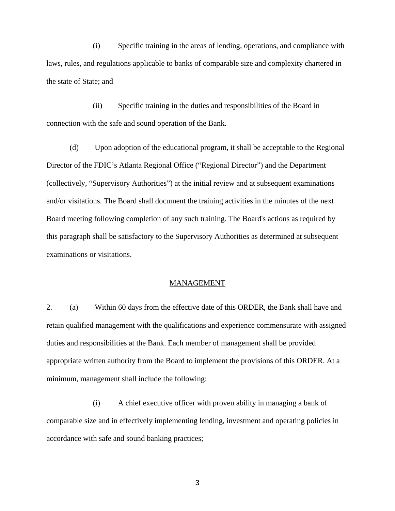(i) Specific training in the areas of lending, operations, and compliance with laws, rules, and regulations applicable to banks of comparable size and complexity chartered in the state of State; and

 (ii) Specific training in the duties and responsibilities of the Board in connection with the safe and sound operation of the Bank.

 (d) Upon adoption of the educational program, it shall be acceptable to the Regional Director of the FDIC's Atlanta Regional Office ("Regional Director") and the Department (collectively, "Supervisory Authorities") at the initial review and at subsequent examinations and/or visitations. The Board shall document the training activities in the minutes of the next Board meeting following completion of any such training. The Board's actions as required by this paragraph shall be satisfactory to the Supervisory Authorities as determined at subsequent examinations or visitations.

#### MANAGEMENT

2. (a) Within 60 days from the effective date of this ORDER, the Bank shall have and retain qualified management with the qualifications and experience commensurate with assigned duties and responsibilities at the Bank. Each member of management shall be provided appropriate written authority from the Board to implement the provisions of this ORDER. At a minimum, management shall include the following:

 (i) A chief executive officer with proven ability in managing a bank of comparable size and in effectively implementing lending, investment and operating policies in accordance with safe and sound banking practices;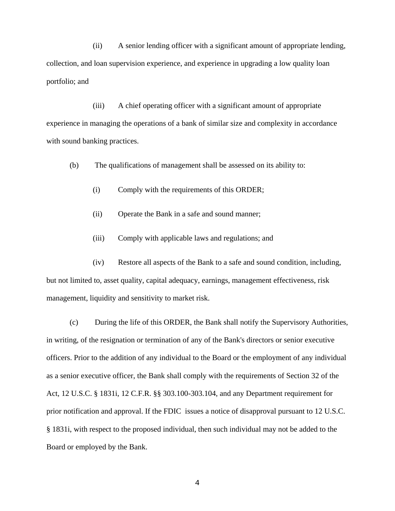(ii) A senior lending officer with a significant amount of appropriate lending, collection, and loan supervision experience, and experience in upgrading a low quality loan portfolio; and

 (iii) A chief operating officer with a significant amount of appropriate experience in managing the operations of a bank of similar size and complexity in accordance with sound banking practices.

(b) The qualifications of management shall be assessed on its ability to:

- (i) Comply with the requirements of this ORDER;
- (ii) Operate the Bank in a safe and sound manner;
- (iii) Comply with applicable laws and regulations; and

 (iv) Restore all aspects of the Bank to a safe and sound condition, including, but not limited to, asset quality, capital adequacy, earnings, management effectiveness, risk management, liquidity and sensitivity to market risk.

 (c) During the life of this ORDER, the Bank shall notify the Supervisory Authorities, in writing, of the resignation or termination of any of the Bank's directors or senior executive officers. Prior to the addition of any individual to the Board or the employment of any individual as a senior executive officer, the Bank shall comply with the requirements of Section 32 of the Act, 12 U.S.C. § 1831i, 12 C.F.R. §§ 303.100-303.104, and any Department requirement for prior notification and approval. If the FDIC issues a notice of disapproval pursuant to 12 U.S.C. § 1831i, with respect to the proposed individual, then such individual may not be added to the Board or employed by the Bank.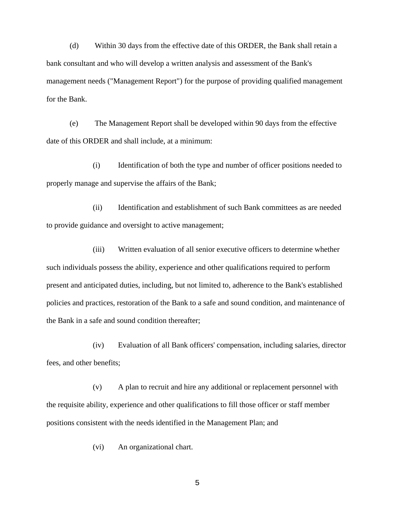(d) Within 30 days from the effective date of this ORDER, the Bank shall retain a bank consultant and who will develop a written analysis and assessment of the Bank's management needs ("Management Report") for the purpose of providing qualified management for the Bank.

 (e) The Management Report shall be developed within 90 days from the effective date of this ORDER and shall include, at a minimum:

 (i) Identification of both the type and number of officer positions needed to properly manage and supervise the affairs of the Bank;

 (ii) Identification and establishment of such Bank committees as are needed to provide guidance and oversight to active management;

 (iii) Written evaluation of all senior executive officers to determine whether such individuals possess the ability, experience and other qualifications required to perform present and anticipated duties, including, but not limited to, adherence to the Bank's established policies and practices, restoration of the Bank to a safe and sound condition, and maintenance of the Bank in a safe and sound condition thereafter;

 (iv) Evaluation of all Bank officers' compensation, including salaries, director fees, and other benefits;

 (v) A plan to recruit and hire any additional or replacement personnel with the requisite ability, experience and other qualifications to fill those officer or staff member positions consistent with the needs identified in the Management Plan; and

(vi) An organizational chart.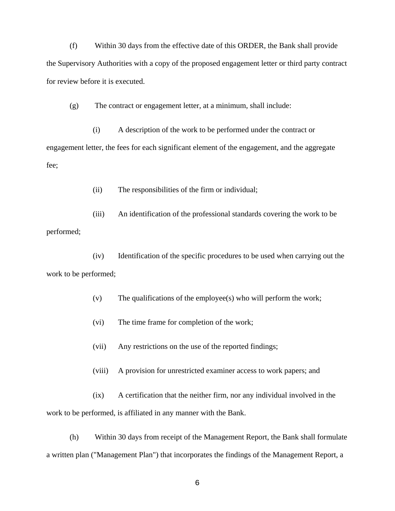(f) Within 30 days from the effective date of this ORDER, the Bank shall provide the Supervisory Authorities with a copy of the proposed engagement letter or third party contract for review before it is executed.

(g) The contract or engagement letter, at a minimum, shall include:

 (i) A description of the work to be performed under the contract or engagement letter, the fees for each significant element of the engagement, and the aggregate fee;

(ii) The responsibilities of the firm or individual;

 (iii) An identification of the professional standards covering the work to be performed;

 (iv) Identification of the specific procedures to be used when carrying out the work to be performed;

(v) The qualifications of the employee(s) who will perform the work;

(vi) The time frame for completion of the work;

(vii) Any restrictions on the use of the reported findings;

(viii) A provision for unrestricted examiner access to work papers; and

 (ix) A certification that the neither firm, nor any individual involved in the work to be performed, is affiliated in any manner with the Bank.

 (h) Within 30 days from receipt of the Management Report, the Bank shall formulate a written plan ("Management Plan") that incorporates the findings of the Management Report, a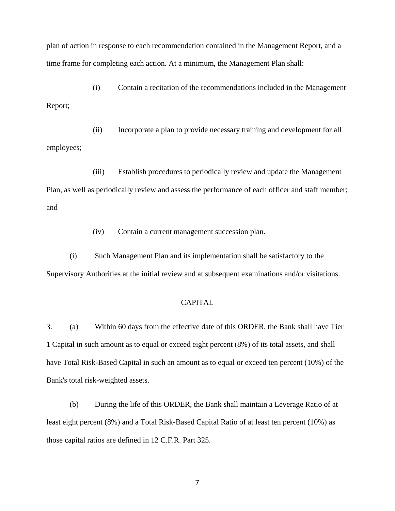plan of action in response to each recommendation contained in the Management Report, and a time frame for completing each action. At a minimum, the Management Plan shall:

 (i) Contain a recitation of the recommendations included in the Management Report;

 (ii) Incorporate a plan to provide necessary training and development for all employees;

 (iii) Establish procedures to periodically review and update the Management Plan, as well as periodically review and assess the performance of each officer and staff member; and

(iv) Contain a current management succession plan.

 (i) Such Management Plan and its implementation shall be satisfactory to the Supervisory Authorities at the initial review and at subsequent examinations and/or visitations.

# CAPITAL

3. (a) Within 60 days from the effective date of this ORDER, the Bank shall have Tier 1 Capital in such amount as to equal or exceed eight percent (8%) of its total assets, and shall have Total Risk-Based Capital in such an amount as to equal or exceed ten percent (10%) of the Bank's total risk-weighted assets.

 (b) During the life of this ORDER, the Bank shall maintain a Leverage Ratio of at least eight percent (8%) and a Total Risk-Based Capital Ratio of at least ten percent (10%) as those capital ratios are defined in 12 C.F.R. Part 325.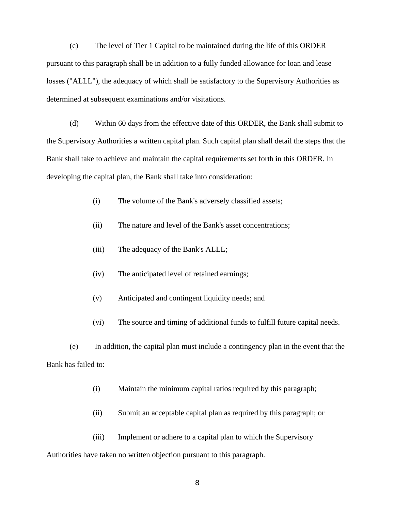(c) The level of Tier 1 Capital to be maintained during the life of this ORDER pursuant to this paragraph shall be in addition to a fully funded allowance for loan and lease losses ("ALLL"), the adequacy of which shall be satisfactory to the Supervisory Authorities as determined at subsequent examinations and/or visitations.

 (d) Within 60 days from the effective date of this ORDER, the Bank shall submit to the Supervisory Authorities a written capital plan. Such capital plan shall detail the steps that the Bank shall take to achieve and maintain the capital requirements set forth in this ORDER. In developing the capital plan, the Bank shall take into consideration:

(i) The volume of the Bank's adversely classified assets;

- (ii) The nature and level of the Bank's asset concentrations;
- (iii) The adequacy of the Bank's ALLL;
- (iv) The anticipated level of retained earnings;
- (v) Anticipated and contingent liquidity needs; and
- (vi) The source and timing of additional funds to fulfill future capital needs.

 (e) In addition, the capital plan must include a contingency plan in the event that the Bank has failed to:

- (i) Maintain the minimum capital ratios required by this paragraph;
- (ii) Submit an acceptable capital plan as required by this paragraph; or

 (iii) Implement or adhere to a capital plan to which the Supervisory Authorities have taken no written objection pursuant to this paragraph.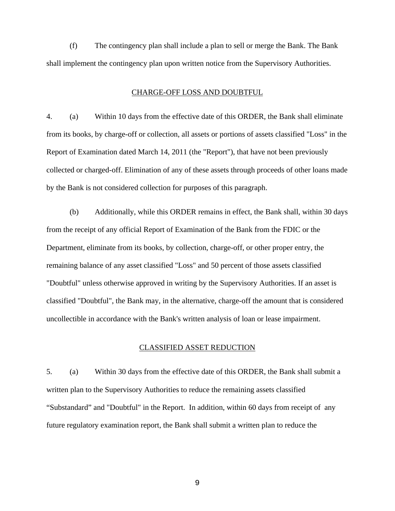(f) The contingency plan shall include a plan to sell or merge the Bank. The Bank shall implement the contingency plan upon written notice from the Supervisory Authorities.

### CHARGE-OFF LOSS AND DOUBTFUL

4. (a) Within 10 days from the effective date of this ORDER, the Bank shall eliminate from its books, by charge-off or collection, all assets or portions of assets classified "Loss" in the Report of Examination dated March 14, 2011 (the "Report"), that have not been previously collected or charged-off. Elimination of any of these assets through proceeds of other loans made by the Bank is not considered collection for purposes of this paragraph.

 (b) Additionally, while this ORDER remains in effect, the Bank shall, within 30 days from the receipt of any official Report of Examination of the Bank from the FDIC or the Department, eliminate from its books, by collection, charge-off, or other proper entry, the remaining balance of any asset classified "Loss" and 50 percent of those assets classified "Doubtful" unless otherwise approved in writing by the Supervisory Authorities. If an asset is classified "Doubtful", the Bank may, in the alternative, charge-off the amount that is considered uncollectible in accordance with the Bank's written analysis of loan or lease impairment.

## CLASSIFIED ASSET REDUCTION

5. (a) Within 30 days from the effective date of this ORDER, the Bank shall submit a written plan to the Supervisory Authorities to reduce the remaining assets classified "Substandard" and "Doubtful" in the Report. In addition, within 60 days from receipt of any future regulatory examination report, the Bank shall submit a written plan to reduce the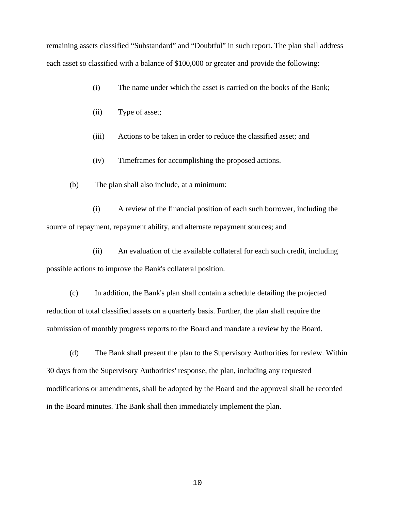remaining assets classified "Substandard" and "Doubtful" in such report. The plan shall address each asset so classified with a balance of \$100,000 or greater and provide the following:

- (i) The name under which the asset is carried on the books of the Bank;
- (ii) Type of asset;
- (iii) Actions to be taken in order to reduce the classified asset; and
- (iv) Timeframes for accomplishing the proposed actions.
- (b) The plan shall also include, at a minimum:

 (i) A review of the financial position of each such borrower, including the source of repayment, repayment ability, and alternate repayment sources; and

 (ii) An evaluation of the available collateral for each such credit, including possible actions to improve the Bank's collateral position.

 (c) In addition, the Bank's plan shall contain a schedule detailing the projected reduction of total classified assets on a quarterly basis. Further, the plan shall require the submission of monthly progress reports to the Board and mandate a review by the Board.

 (d) The Bank shall present the plan to the Supervisory Authorities for review. Within 30 days from the Supervisory Authorities' response, the plan, including any requested modifications or amendments, shall be adopted by the Board and the approval shall be recorded in the Board minutes. The Bank shall then immediately implement the plan.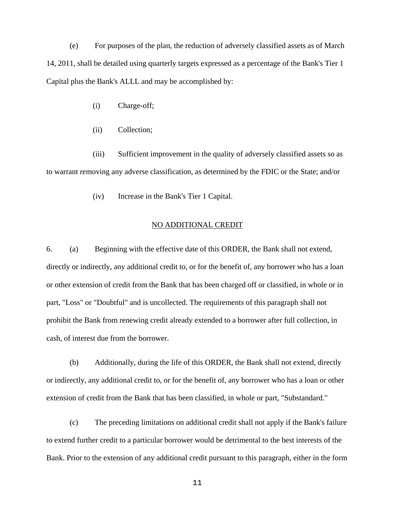(e) For purposes of the plan, the reduction of adversely classified assets as of March 14, 2011, shall be detailed using quarterly targets expressed as a percentage of the Bank's Tier 1 Capital plus the Bank's ALLL and may be accomplished by:

- (i) Charge-off;
- (ii) Collection;

 (iii) Sufficient improvement in the quality of adversely classified assets so as to warrant removing any adverse classification, as determined by the FDIC or the State; and/or

(iv) Increase in the Bank's Tier 1 Capital.

### NO ADDITIONAL CREDIT

6. (a) Beginning with the effective date of this ORDER, the Bank shall not extend, directly or indirectly, any additional credit to, or for the benefit of, any borrower who has a loan or other extension of credit from the Bank that has been charged off or classified, in whole or in part, "Loss" or "Doubtful" and is uncollected. The requirements of this paragraph shall not prohibit the Bank from renewing credit already extended to a borrower after full collection, in cash, of interest due from the borrower.

 (b) Additionally, during the life of this ORDER, the Bank shall not extend, directly or indirectly, any additional credit to, or for the benefit of, any borrower who has a loan or other extension of credit from the Bank that has been classified, in whole or part, "Substandard."

 (c) The preceding limitations on additional credit shall not apply if the Bank's failure to extend further credit to a particular borrower would be detrimental to the best interests of the Bank. Prior to the extension of any additional credit pursuant to this paragraph, either in the form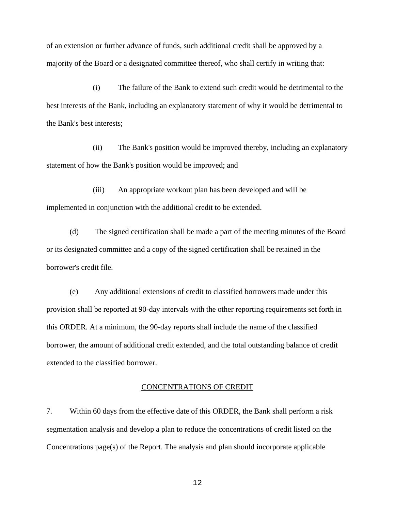of an extension or further advance of funds, such additional credit shall be approved by a majority of the Board or a designated committee thereof, who shall certify in writing that:

 (i) The failure of the Bank to extend such credit would be detrimental to the best interests of the Bank, including an explanatory statement of why it would be detrimental to the Bank's best interests;

 (ii) The Bank's position would be improved thereby, including an explanatory statement of how the Bank's position would be improved; and

 (iii) An appropriate workout plan has been developed and will be implemented in conjunction with the additional credit to be extended.

 (d) The signed certification shall be made a part of the meeting minutes of the Board or its designated committee and a copy of the signed certification shall be retained in the borrower's credit file.

 (e) Any additional extensions of credit to classified borrowers made under this provision shall be reported at 90-day intervals with the other reporting requirements set forth in this ORDER. At a minimum, the 90-day reports shall include the name of the classified borrower, the amount of additional credit extended, and the total outstanding balance of credit extended to the classified borrower.

## CONCENTRATIONS OF CREDIT

7. Within 60 days from the effective date of this ORDER, the Bank shall perform a risk segmentation analysis and develop a plan to reduce the concentrations of credit listed on the Concentrations page(s) of the Report. The analysis and plan should incorporate applicable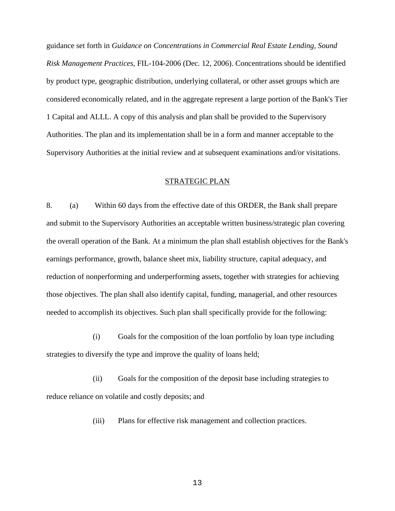guidance set forth in *Guidance on Concentrations in Commercial Real Estate Lending, Sound Risk Management Practices*, FIL-104-2006 (Dec. 12, 2006). Concentrations should be identified by product type, geographic distribution, underlying collateral, or other asset groups which are considered economically related, and in the aggregate represent a large portion of the Bank's Tier 1 Capital and ALLL. A copy of this analysis and plan shall be provided to the Supervisory Authorities. The plan and its implementation shall be in a form and manner acceptable to the Supervisory Authorities at the initial review and at subsequent examinations and/or visitations.

## STRATEGIC PLAN

8. (a) Within 60 days from the effective date of this ORDER, the Bank shall prepare and submit to the Supervisory Authorities an acceptable written business/strategic plan covering the overall operation of the Bank. At a minimum the plan shall establish objectives for the Bank's earnings performance, growth, balance sheet mix, liability structure, capital adequacy, and reduction of nonperforming and underperforming assets, together with strategies for achieving those objectives. The plan shall also identify capital, funding, managerial, and other resources needed to accomplish its objectives. Such plan shall specifically provide for the following:

 (i) Goals for the composition of the loan portfolio by loan type including strategies to diversify the type and improve the quality of loans held;

 (ii) Goals for the composition of the deposit base including strategies to reduce reliance on volatile and costly deposits; and

(iii) Plans for effective risk management and collection practices.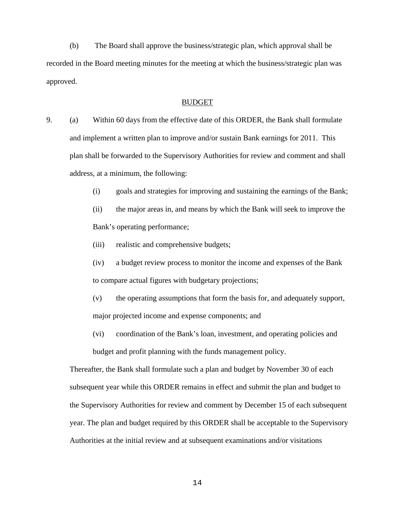(b) The Board shall approve the business/strategic plan, which approval shall be recorded in the Board meeting minutes for the meeting at which the business/strategic plan was approved.

### BUDGET

- 9. (a) Within 60 days from the effective date of this ORDER, the Bank shall formulate and implement a written plan to improve and/or sustain Bank earnings for 2011. This plan shall be forwarded to the Supervisory Authorities for review and comment and shall address, at a minimum, the following:
	- (i) goals and strategies for improving and sustaining the earnings of the Bank;
	- (ii) the major areas in, and means by which the Bank will seek to improve the Bank's operating performance;
	- (iii) realistic and comprehensive budgets;
	- (iv) a budget review process to monitor the income and expenses of the Bank to compare actual figures with budgetary projections;
	- (v) the operating assumptions that form the basis for, and adequately support, major projected income and expense components; and
	- (vi) coordination of the Bank's loan, investment, and operating policies and budget and profit planning with the funds management policy.

Thereafter, the Bank shall formulate such a plan and budget by November 30 of each subsequent year while this ORDER remains in effect and submit the plan and budget to the Supervisory Authorities for review and comment by December 15 of each subsequent year. The plan and budget required by this ORDER shall be acceptable to the Supervisory Authorities at the initial review and at subsequent examinations and/or visitations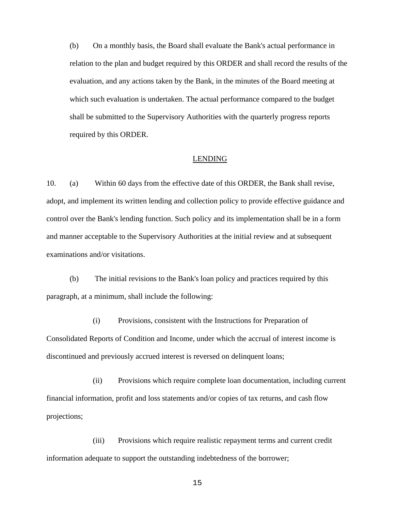(b) On a monthly basis, the Board shall evaluate the Bank's actual performance in relation to the plan and budget required by this ORDER and shall record the results of the evaluation, and any actions taken by the Bank, in the minutes of the Board meeting at which such evaluation is undertaken. The actual performance compared to the budget shall be submitted to the Supervisory Authorities with the quarterly progress reports required by this ORDER.

### LENDING

10. (a) Within 60 days from the effective date of this ORDER, the Bank shall revise, adopt, and implement its written lending and collection policy to provide effective guidance and control over the Bank's lending function. Such policy and its implementation shall be in a form and manner acceptable to the Supervisory Authorities at the initial review and at subsequent examinations and/or visitations.

 (b) The initial revisions to the Bank's loan policy and practices required by this paragraph, at a minimum, shall include the following:

 (i) Provisions, consistent with the Instructions for Preparation of Consolidated Reports of Condition and Income, under which the accrual of interest income is discontinued and previously accrued interest is reversed on delinquent loans;

 (ii) Provisions which require complete loan documentation, including current financial information, profit and loss statements and/or copies of tax returns, and cash flow projections;

 (iii) Provisions which require realistic repayment terms and current credit information adequate to support the outstanding indebtedness of the borrower;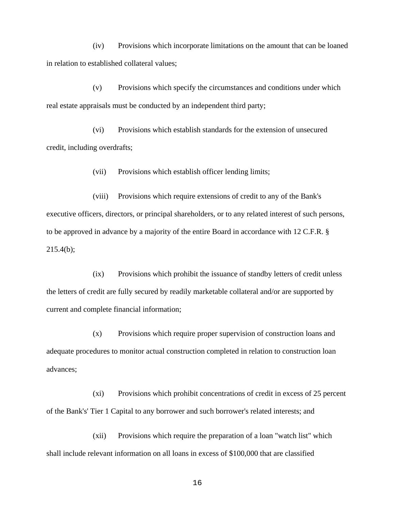(iv) Provisions which incorporate limitations on the amount that can be loaned in relation to established collateral values;

 (v) Provisions which specify the circumstances and conditions under which real estate appraisals must be conducted by an independent third party;

 (vi) Provisions which establish standards for the extension of unsecured credit, including overdrafts;

(vii) Provisions which establish officer lending limits;

 (viii) Provisions which require extensions of credit to any of the Bank's executive officers, directors, or principal shareholders, or to any related interest of such persons, to be approved in advance by a majority of the entire Board in accordance with 12 C.F.R. § 215.4(b);

 (ix) Provisions which prohibit the issuance of standby letters of credit unless the letters of credit are fully secured by readily marketable collateral and/or are supported by current and complete financial information;

 (x) Provisions which require proper supervision of construction loans and adequate procedures to monitor actual construction completed in relation to construction loan advances;

 (xi) Provisions which prohibit concentrations of credit in excess of 25 percent of the Bank's' Tier 1 Capital to any borrower and such borrower's related interests; and

 (xii) Provisions which require the preparation of a loan "watch list" which shall include relevant information on all loans in excess of \$100,000 that are classified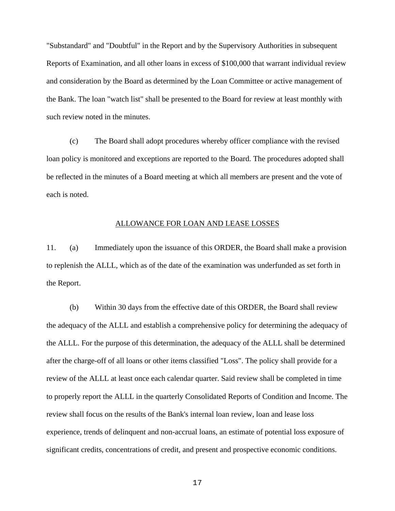"Substandard" and "Doubtful" in the Report and by the Supervisory Authorities in subsequent Reports of Examination, and all other loans in excess of \$100,000 that warrant individual review and consideration by the Board as determined by the Loan Committee or active management of the Bank. The loan "watch list" shall be presented to the Board for review at least monthly with such review noted in the minutes.

 (c) The Board shall adopt procedures whereby officer compliance with the revised loan policy is monitored and exceptions are reported to the Board. The procedures adopted shall be reflected in the minutes of a Board meeting at which all members are present and the vote of each is noted.

### ALLOWANCE FOR LOAN AND LEASE LOSSES

11. (a) Immediately upon the issuance of this ORDER, the Board shall make a provision to replenish the ALLL, which as of the date of the examination was underfunded as set forth in the Report.

 (b) Within 30 days from the effective date of this ORDER, the Board shall review the adequacy of the ALLL and establish a comprehensive policy for determining the adequacy of the ALLL. For the purpose of this determination, the adequacy of the ALLL shall be determined after the charge-off of all loans or other items classified "Loss". The policy shall provide for a review of the ALLL at least once each calendar quarter. Said review shall be completed in time to properly report the ALLL in the quarterly Consolidated Reports of Condition and Income. The review shall focus on the results of the Bank's internal loan review, loan and lease loss experience, trends of delinquent and non-accrual loans, an estimate of potential loss exposure of significant credits, concentrations of credit, and present and prospective economic conditions.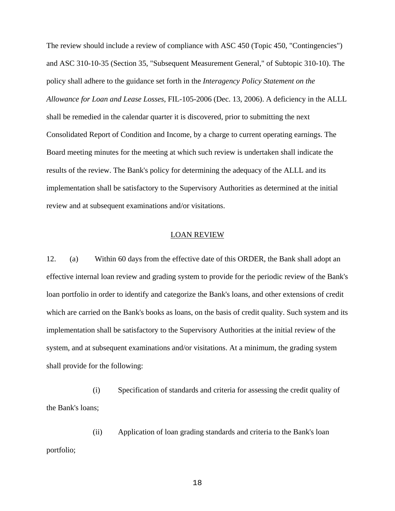The review should include a review of compliance with ASC 450 (Topic 450, "Contingencies") and ASC 310-10-35 (Section 35, "Subsequent Measurement General," of Subtopic 310-10). The policy shall adhere to the guidance set forth in the *Interagency Policy Statement on the Allowance for Loan and Lease Losses*, FIL-105-2006 (Dec. 13, 2006). A deficiency in the ALLL shall be remedied in the calendar quarter it is discovered, prior to submitting the next Consolidated Report of Condition and Income, by a charge to current operating earnings. The Board meeting minutes for the meeting at which such review is undertaken shall indicate the results of the review. The Bank's policy for determining the adequacy of the ALLL and its implementation shall be satisfactory to the Supervisory Authorities as determined at the initial review and at subsequent examinations and/or visitations.

## LOAN REVIEW

12. (a) Within 60 days from the effective date of this ORDER, the Bank shall adopt an effective internal loan review and grading system to provide for the periodic review of the Bank's loan portfolio in order to identify and categorize the Bank's loans, and other extensions of credit which are carried on the Bank's books as loans, on the basis of credit quality. Such system and its implementation shall be satisfactory to the Supervisory Authorities at the initial review of the system, and at subsequent examinations and/or visitations. At a minimum, the grading system shall provide for the following:

 (i) Specification of standards and criteria for assessing the credit quality of the Bank's loans;

 (ii) Application of loan grading standards and criteria to the Bank's loan portfolio;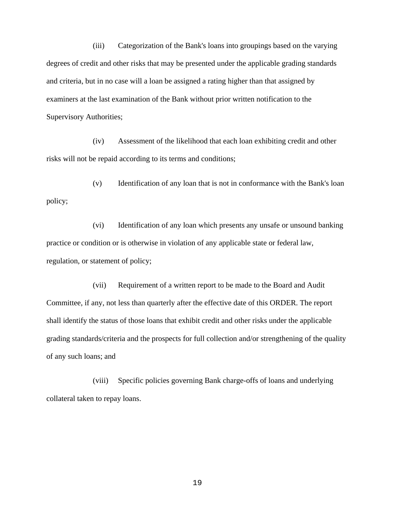(iii) Categorization of the Bank's loans into groupings based on the varying degrees of credit and other risks that may be presented under the applicable grading standards and criteria, but in no case will a loan be assigned a rating higher than that assigned by examiners at the last examination of the Bank without prior written notification to the Supervisory Authorities;

 (iv) Assessment of the likelihood that each loan exhibiting credit and other risks will not be repaid according to its terms and conditions;

 (v) Identification of any loan that is not in conformance with the Bank's loan policy;

 (vi) Identification of any loan which presents any unsafe or unsound banking practice or condition or is otherwise in violation of any applicable state or federal law, regulation, or statement of policy;

 (vii) Requirement of a written report to be made to the Board and Audit Committee, if any, not less than quarterly after the effective date of this ORDER. The report shall identify the status of those loans that exhibit credit and other risks under the applicable grading standards/criteria and the prospects for full collection and/or strengthening of the quality of any such loans; and

 (viii) Specific policies governing Bank charge-offs of loans and underlying collateral taken to repay loans.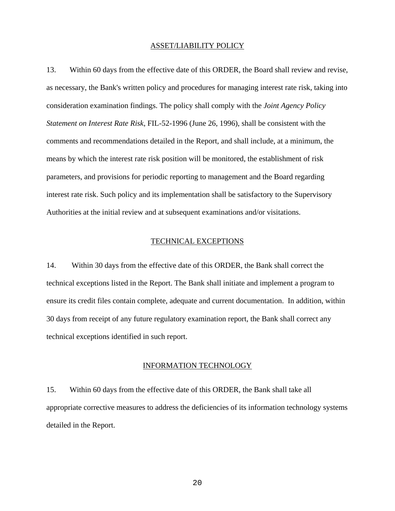## ASSET/LIABILITY POLICY

13. Within 60 days from the effective date of this ORDER, the Board shall review and revise, as necessary, the Bank's written policy and procedures for managing interest rate risk, taking into consideration examination findings. The policy shall comply with the *Joint Agency Policy Statement on Interest Rate Risk*, FIL-52-1996 (June 26, 1996), shall be consistent with the comments and recommendations detailed in the Report, and shall include, at a minimum, the means by which the interest rate risk position will be monitored, the establishment of risk parameters, and provisions for periodic reporting to management and the Board regarding interest rate risk. Such policy and its implementation shall be satisfactory to the Supervisory Authorities at the initial review and at subsequent examinations and/or visitations.

# TECHNICAL EXCEPTIONS

14. Within 30 days from the effective date of this ORDER, the Bank shall correct the technical exceptions listed in the Report. The Bank shall initiate and implement a program to ensure its credit files contain complete, adequate and current documentation. In addition, within 30 days from receipt of any future regulatory examination report, the Bank shall correct any technical exceptions identified in such report.

### INFORMATION TECHNOLOGY

15. Within 60 days from the effective date of this ORDER, the Bank shall take all appropriate corrective measures to address the deficiencies of its information technology systems detailed in the Report.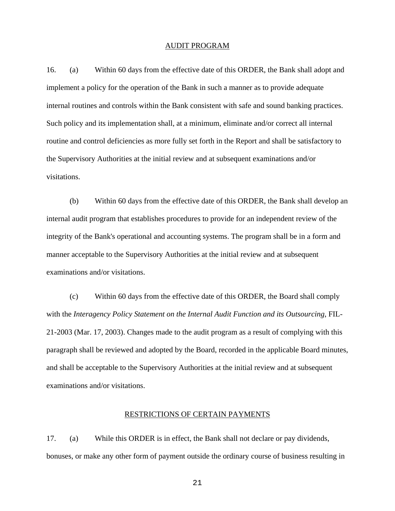### AUDIT PROGRAM

16. (a) Within 60 days from the effective date of this ORDER, the Bank shall adopt and implement a policy for the operation of the Bank in such a manner as to provide adequate internal routines and controls within the Bank consistent with safe and sound banking practices. Such policy and its implementation shall, at a minimum, eliminate and/or correct all internal routine and control deficiencies as more fully set forth in the Report and shall be satisfactory to the Supervisory Authorities at the initial review and at subsequent examinations and/or visitations.

 (b) Within 60 days from the effective date of this ORDER, the Bank shall develop an internal audit program that establishes procedures to provide for an independent review of the integrity of the Bank's operational and accounting systems. The program shall be in a form and manner acceptable to the Supervisory Authorities at the initial review and at subsequent examinations and/or visitations.

 (c) Within 60 days from the effective date of this ORDER, the Board shall comply with the *Interagency Policy Statement on the Internal Audit Function and its Outsourcing*, FIL-21-2003 (Mar. 17, 2003). Changes made to the audit program as a result of complying with this paragraph shall be reviewed and adopted by the Board, recorded in the applicable Board minutes, and shall be acceptable to the Supervisory Authorities at the initial review and at subsequent examinations and/or visitations.

#### RESTRICTIONS OF CERTAIN PAYMENTS

17. (a) While this ORDER is in effect, the Bank shall not declare or pay dividends, bonuses, or make any other form of payment outside the ordinary course of business resulting in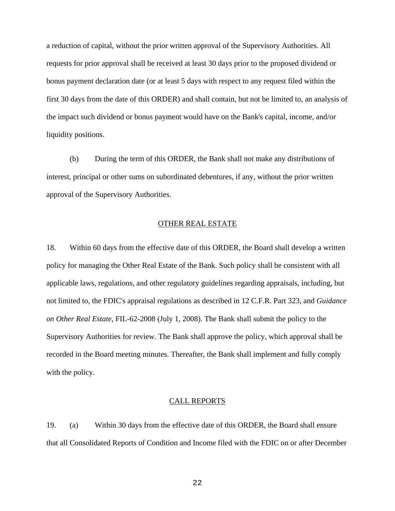a reduction of capital, without the prior written approval of the Supervisory Authorities. All requests for prior approval shall be received at least 30 days prior to the proposed dividend or bonus payment declaration date (or at least 5 days with respect to any request filed within the first 30 days from the date of this ORDER) and shall contain, but not be limited to, an analysis of the impact such dividend or bonus payment would have on the Bank's capital, income, and/or liquidity positions.

 (b) During the term of this ORDER, the Bank shall not make any distributions of interest, principal or other sums on subordinated debentures, if any, without the prior written approval of the Supervisory Authorities.

## OTHER REAL ESTATE

18. Within 60 days from the effective date of this ORDER, the Board shall develop a written policy for managing the Other Real Estate of the Bank. Such policy shall be consistent with all applicable laws, regulations, and other regulatory guidelines regarding appraisals, including, but not limited to, the FDIC's appraisal regulations as described in 12 C.F.R. Part 323, and *Guidance on Other Real Estate*, FIL-62-2008 (July 1, 2008). The Bank shall submit the policy to the Supervisory Authorities for review. The Bank shall approve the policy, which approval shall be recorded in the Board meeting minutes. Thereafter, the Bank shall implement and fully comply with the policy.

# CALL REPORTS

19. (a) Within 30 days from the effective date of this ORDER, the Board shall ensure that all Consolidated Reports of Condition and Income filed with the FDIC on or after December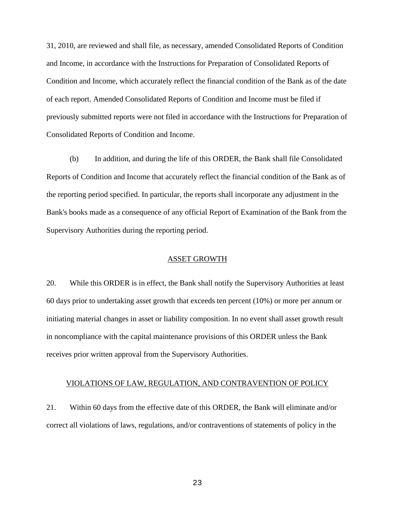31, 2010, are reviewed and shall file, as necessary, amended Consolidated Reports of Condition and Income, in accordance with the Instructions for Preparation of Consolidated Reports of Condition and Income, which accurately reflect the financial condition of the Bank as of the date of each report. Amended Consolidated Reports of Condition and Income must be filed if previously submitted reports were not filed in accordance with the Instructions for Preparation of Consolidated Reports of Condition and Income.

 (b) In addition, and during the life of this ORDER, the Bank shall file Consolidated Reports of Condition and Income that accurately reflect the financial condition of the Bank as of the reporting period specified. In particular, the reports shall incorporate any adjustment in the Bank's books made as a consequence of any official Report of Examination of the Bank from the Supervisory Authorities during the reporting period.

## ASSET GROWTH

20. While this ORDER is in effect, the Bank shall notify the Supervisory Authorities at least 60 days prior to undertaking asset growth that exceeds ten percent (10%) or more per annum or initiating material changes in asset or liability composition. In no event shall asset growth result in noncompliance with the capital maintenance provisions of this ORDER unless the Bank receives prior written approval from the Supervisory Authorities.

### VIOLATIONS OF LAW, REGULATION, AND CONTRAVENTION OF POLICY

21. Within 60 days from the effective date of this ORDER, the Bank will eliminate and/or correct all violations of laws, regulations, and/or contraventions of statements of policy in the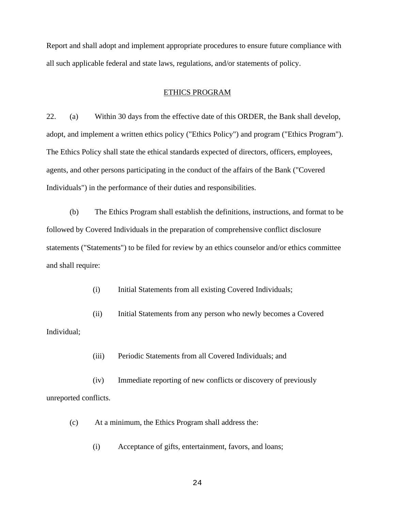Report and shall adopt and implement appropriate procedures to ensure future compliance with all such applicable federal and state laws, regulations, and/or statements of policy.

### ETHICS PROGRAM

22. (a) Within 30 days from the effective date of this ORDER, the Bank shall develop, adopt, and implement a written ethics policy ("Ethics Policy") and program ("Ethics Program"). The Ethics Policy shall state the ethical standards expected of directors, officers, employees, agents, and other persons participating in the conduct of the affairs of the Bank ("Covered Individuals") in the performance of their duties and responsibilities.

 (b) The Ethics Program shall establish the definitions, instructions, and format to be followed by Covered Individuals in the preparation of comprehensive conflict disclosure statements ("Statements") to be filed for review by an ethics counselor and/or ethics committee and shall require:

(i) Initial Statements from all existing Covered Individuals;

 (ii) Initial Statements from any person who newly becomes a Covered Individual;

(iii) Periodic Statements from all Covered Individuals; and

 (iv) Immediate reporting of new conflicts or discovery of previously unreported conflicts.

(c) At a minimum, the Ethics Program shall address the:

(i) Acceptance of gifts, entertainment, favors, and loans;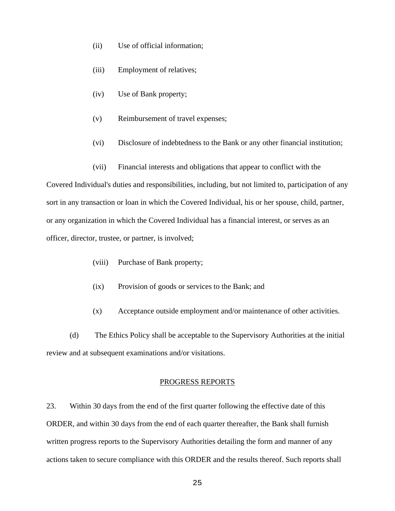- (ii) Use of official information;
- (iii) Employment of relatives;
- (iv) Use of Bank property;
- (v) Reimbursement of travel expenses;
- (vi) Disclosure of indebtedness to the Bank or any other financial institution;
- (vii) Financial interests and obligations that appear to conflict with the

Covered Individual's duties and responsibilities, including, but not limited to, participation of any sort in any transaction or loan in which the Covered Individual, his or her spouse, child, partner, or any organization in which the Covered Individual has a financial interest, or serves as an officer, director, trustee, or partner, is involved;

- (viii) Purchase of Bank property;
- (ix) Provision of goods or services to the Bank; and
- (x) Acceptance outside employment and/or maintenance of other activities.

 (d) The Ethics Policy shall be acceptable to the Supervisory Authorities at the initial review and at subsequent examinations and/or visitations.

#### PROGRESS REPORTS

23. Within 30 days from the end of the first quarter following the effective date of this ORDER, and within 30 days from the end of each quarter thereafter, the Bank shall furnish written progress reports to the Supervisory Authorities detailing the form and manner of any actions taken to secure compliance with this ORDER and the results thereof. Such reports shall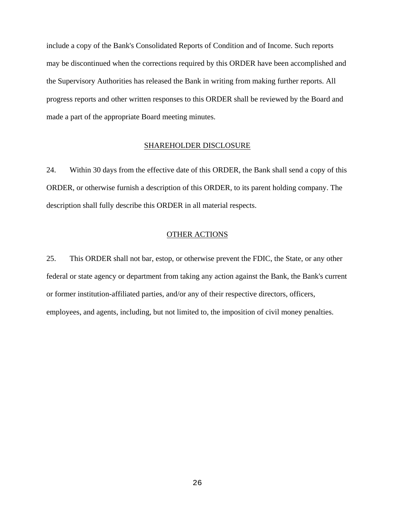include a copy of the Bank's Consolidated Reports of Condition and of Income. Such reports may be discontinued when the corrections required by this ORDER have been accomplished and the Supervisory Authorities has released the Bank in writing from making further reports. All progress reports and other written responses to this ORDER shall be reviewed by the Board and made a part of the appropriate Board meeting minutes.

## SHAREHOLDER DISCLOSURE

24. Within 30 days from the effective date of this ORDER, the Bank shall send a copy of this ORDER, or otherwise furnish a description of this ORDER, to its parent holding company. The description shall fully describe this ORDER in all material respects.

## OTHER ACTIONS

25. This ORDER shall not bar, estop, or otherwise prevent the FDIC, the State, or any other federal or state agency or department from taking any action against the Bank, the Bank's current or former institution-affiliated parties, and/or any of their respective directors, officers, employees, and agents, including, but not limited to, the imposition of civil money penalties.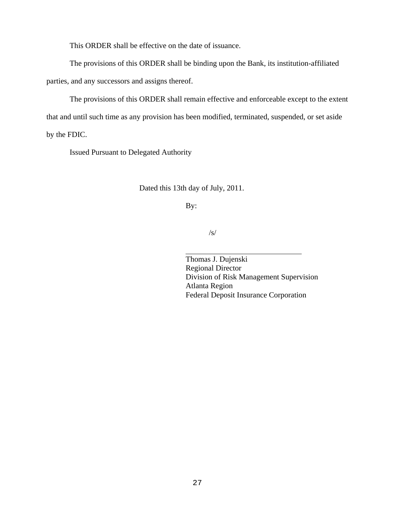This ORDER shall be effective on the date of issuance.

The provisions of this ORDER shall be binding upon the Bank, its institution-affiliated

parties, and any successors and assigns thereof.

The provisions of this ORDER shall remain effective and enforceable except to the extent that and until such time as any provision has been modified, terminated, suspended, or set aside by the FDIC.

Issued Pursuant to Delegated Authority

Dated this 13th day of July, 2011.

By:

l

/s/

Thomas J. Dujenski Regional Director Division of Risk Management Supervision Atlanta Region Federal Deposit Insurance Corporation